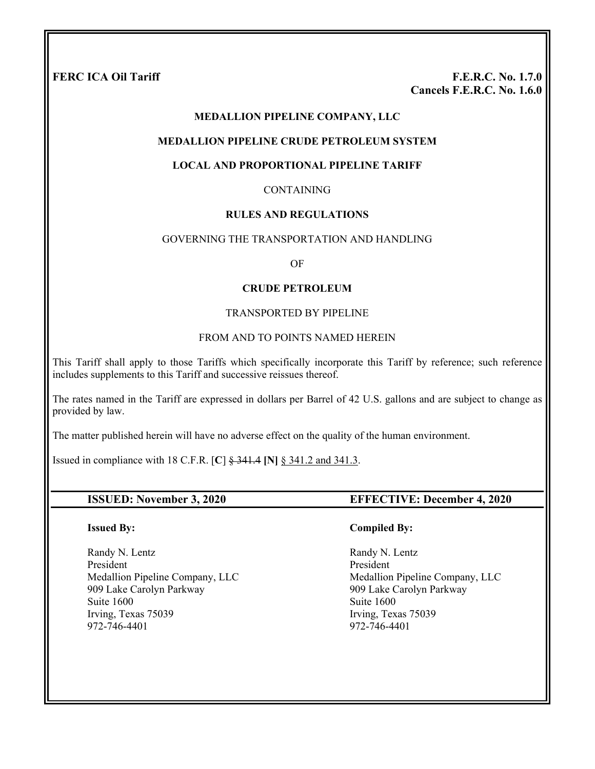FERC ICA Oil Tariff F.E.R.C. No. 1.7.0 **Cancels F.E.R.C. No. 1.6.0** 

#### **MEDALLION PIPELINE COMPANY, LLC**

#### **MEDALLION PIPELINE CRUDE PETROLEUM SYSTEM**

#### **LOCAL AND PROPORTIONAL PIPELINE TARIFF**

#### CONTAINING

#### **RULES AND REGULATIONS**

#### GOVERNING THE TRANSPORTATION AND HANDLING

OF

#### **CRUDE PETROLEUM**

#### TRANSPORTED BY PIPELINE

#### FROM AND TO POINTS NAMED HEREIN

This Tariff shall apply to those Tariffs which specifically incorporate this Tariff by reference; such reference includes supplements to this Tariff and successive reissues thereof.

The rates named in the Tariff are expressed in dollars per Barrel of 42 U.S. gallons and are subject to change as provided by law.

The matter published herein will have no adverse effect on the quality of the human environment.

Issued in compliance with 18 C.F.R. [**C**] § 341.4 **[N]** § 341.2 and 341.3.

#### **Issued By:**

Randy N. Lentz President Medallion Pipeline Company, LLC 909 Lake Carolyn Parkway Suite 1600 Irving, Texas 75039 972-746-4401

#### **ISSUED: November 3, 2020 EFFECTIVE: December 4, 2020**

#### **Compiled By:**

 Randy N. Lentz President Medallion Pipeline Company, LLC 909 Lake Carolyn Parkway Suite 1600 Irving, Texas 75039 972-746-4401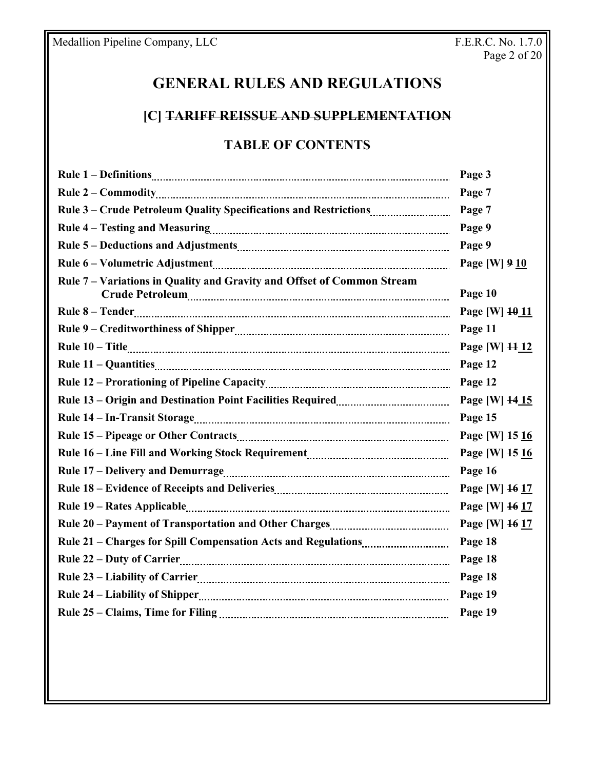# **GENERAL RULES AND REGULATIONS**

# **[C] TARIFF REISSUE AND SUPPLEMENTATION**

# **TABLE OF CONTENTS**

|                                                                        | Page 3           |
|------------------------------------------------------------------------|------------------|
|                                                                        | Page 7           |
|                                                                        | Page 7           |
|                                                                        | Page 9           |
|                                                                        | Page 9           |
|                                                                        | Page [W] 9 10    |
| Rule 7 - Variations in Quality and Gravity and Offset of Common Stream | Page 10          |
|                                                                        | Page [W] $10$ 11 |
|                                                                        | Page 11          |
|                                                                        | Page [W] 14 12   |
|                                                                        | Page 12          |
|                                                                        | Page 12          |
|                                                                        | Page [W] 14 15   |
|                                                                        | Page 15          |
|                                                                        | Page [W] 15 16   |
|                                                                        | Page [W] 15 16   |
|                                                                        | Page 16          |
|                                                                        | Page [W] 16 17   |
|                                                                        | Page [W] 16 17   |
|                                                                        | Page [W] 16 17   |
|                                                                        | Page 18          |
|                                                                        | Page 18          |
|                                                                        | Page 18          |
|                                                                        | Page 19          |
|                                                                        | Page 19          |
|                                                                        |                  |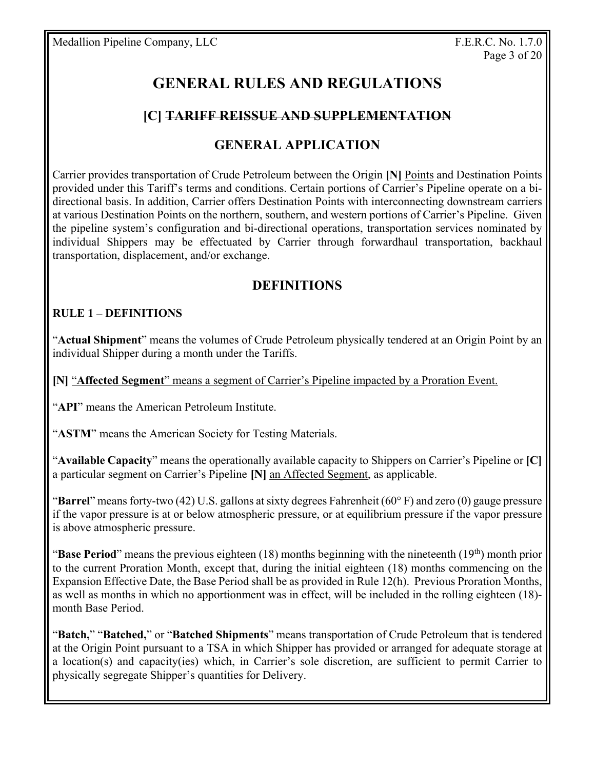# **GENERAL RULES AND REGULATIONS**

# **[C] TARIFF REISSUE AND SUPPLEMENTATION**

# **GENERAL APPLICATION**

Carrier provides transportation of Crude Petroleum between the Origin **[N]** Points and Destination Points provided under this Tariff's terms and conditions. Certain portions of Carrier's Pipeline operate on a bidirectional basis. In addition, Carrier offers Destination Points with interconnecting downstream carriers at various Destination Points on the northern, southern, and western portions of Carrier's Pipeline. Given the pipeline system's configuration and bi-directional operations, transportation services nominated by individual Shippers may be effectuated by Carrier through forwardhaul transportation, backhaul transportation, displacement, and/or exchange.

# **DEFINITIONS**

# **RULE 1 – DEFINITIONS**

"**Actual Shipment**" means the volumes of Crude Petroleum physically tendered at an Origin Point by an individual Shipper during a month under the Tariffs.

**[N]** "**Affected Segment**" means a segment of Carrier's Pipeline impacted by a Proration Event.

"**API**" means the American Petroleum Institute.

"**ASTM**" means the American Society for Testing Materials.

"**Available Capacity**" means the operationally available capacity to Shippers on Carrier's Pipeline or **[C]**  a particular segment on Carrier's Pipeline **[N]** an Affected Segment, as applicable.

"**Barrel**" means forty-two (42) U.S. gallons at sixty degrees Fahrenheit (60° F) and zero (0) gauge pressure if the vapor pressure is at or below atmospheric pressure, or at equilibrium pressure if the vapor pressure is above atmospheric pressure.

"**Base Period**" means the previous eighteen (18) months beginning with the nineteenth (19<sup>th</sup>) month prior to the current Proration Month, except that, during the initial eighteen (18) months commencing on the Expansion Effective Date, the Base Period shall be as provided in Rule 12(h). Previous Proration Months, as well as months in which no apportionment was in effect, will be included in the rolling eighteen (18) month Base Period.

"**Batch,**" "**Batched,**" or "**Batched Shipments**" means transportation of Crude Petroleum that is tendered at the Origin Point pursuant to a TSA in which Shipper has provided or arranged for adequate storage at a location(s) and capacity(ies) which, in Carrier's sole discretion, are sufficient to permit Carrier to physically segregate Shipper's quantities for Delivery.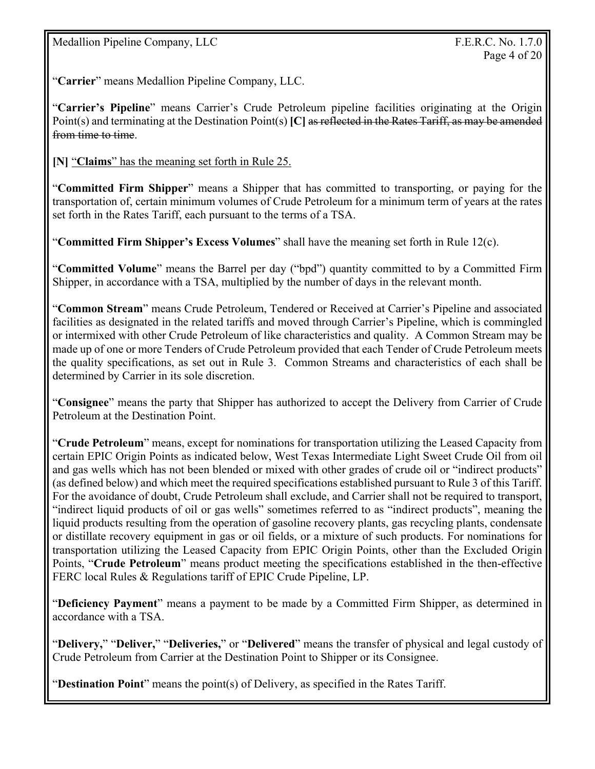"**Carrier**" means Medallion Pipeline Company, LLC.

"**Carrier's Pipeline**" means Carrier's Crude Petroleum pipeline facilities originating at the Origin Point(s) and terminating at the Destination Point(s) **[C]** as reflected in the Rates Tariff, as may be amended from time to time.

**[N]** "**Claims**" has the meaning set forth in Rule 25.

"**Committed Firm Shipper**" means a Shipper that has committed to transporting, or paying for the transportation of, certain minimum volumes of Crude Petroleum for a minimum term of years at the rates set forth in the Rates Tariff, each pursuant to the terms of a TSA.

"**Committed Firm Shipper's Excess Volumes**" shall have the meaning set forth in Rule 12(c).

"**Committed Volume**" means the Barrel per day ("bpd") quantity committed to by a Committed Firm Shipper, in accordance with a TSA, multiplied by the number of days in the relevant month.

"**Common Stream**" means Crude Petroleum, Tendered or Received at Carrier's Pipeline and associated facilities as designated in the related tariffs and moved through Carrier's Pipeline, which is commingled or intermixed with other Crude Petroleum of like characteristics and quality. A Common Stream may be made up of one or more Tenders of Crude Petroleum provided that each Tender of Crude Petroleum meets the quality specifications, as set out in Rule 3. Common Streams and characteristics of each shall be determined by Carrier in its sole discretion.

"**Consignee**" means the party that Shipper has authorized to accept the Delivery from Carrier of Crude Petroleum at the Destination Point.

"**Crude Petroleum**" means, except for nominations for transportation utilizing the Leased Capacity from certain EPIC Origin Points as indicated below, West Texas Intermediate Light Sweet Crude Oil from oil and gas wells which has not been blended or mixed with other grades of crude oil or "indirect products" (as defined below) and which meet the required specifications established pursuant to Rule 3 of this Tariff. For the avoidance of doubt, Crude Petroleum shall exclude, and Carrier shall not be required to transport, "indirect liquid products of oil or gas wells" sometimes referred to as "indirect products", meaning the liquid products resulting from the operation of gasoline recovery plants, gas recycling plants, condensate or distillate recovery equipment in gas or oil fields, or a mixture of such products. For nominations for transportation utilizing the Leased Capacity from EPIC Origin Points, other than the Excluded Origin Points, "**Crude Petroleum**" means product meeting the specifications established in the then-effective FERC local Rules & Regulations tariff of EPIC Crude Pipeline, LP.

"**Deficiency Payment**" means a payment to be made by a Committed Firm Shipper, as determined in accordance with a TSA.

"**Delivery,**" "**Deliver,**" "**Deliveries,**" or "**Delivered**" means the transfer of physical and legal custody of Crude Petroleum from Carrier at the Destination Point to Shipper or its Consignee.

"**Destination Point**" means the point(s) of Delivery, as specified in the Rates Tariff.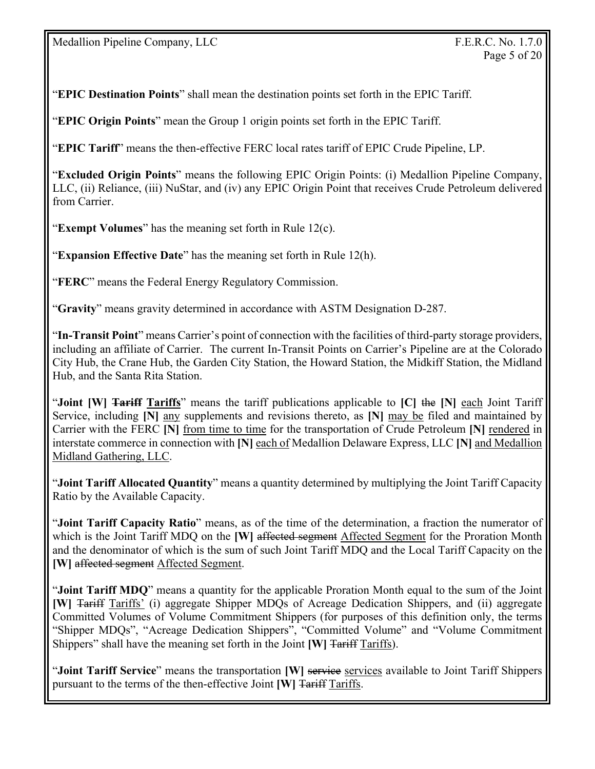Page 5 of 20

"**EPIC Destination Points**" shall mean the destination points set forth in the EPIC Tariff.

"**EPIC Origin Points**" mean the Group 1 origin points set forth in the EPIC Tariff.

"**EPIC Tariff**" means the then-effective FERC local rates tariff of EPIC Crude Pipeline, LP.

"**Excluded Origin Points**" means the following EPIC Origin Points: (i) Medallion Pipeline Company, LLC, (ii) Reliance, (iii) NuStar, and (iv) any EPIC Origin Point that receives Crude Petroleum delivered from Carrier.

"**Exempt Volumes**" has the meaning set forth in Rule 12(c).

"**Expansion Effective Date**" has the meaning set forth in Rule 12(h).

"**FERC**" means the Federal Energy Regulatory Commission.

"**Gravity**" means gravity determined in accordance with ASTM Designation D-287.

"**In-Transit Point**" means Carrier's point of connection with the facilities of third-party storage providers, including an affiliate of Carrier. The current In-Transit Points on Carrier's Pipeline are at the Colorado City Hub, the Crane Hub, the Garden City Station, the Howard Station, the Midkiff Station, the Midland Hub, and the Santa Rita Station.

"**Joint [W] Tariff Tariffs**" means the tariff publications applicable to **[C]** the **[N]** each Joint Tariff Service, including **[N]** any supplements and revisions thereto, as **[N]** may be filed and maintained by Carrier with the FERC **[N]** from time to time for the transportation of Crude Petroleum **[N]** rendered in interstate commerce in connection with **[N]** each of Medallion Delaware Express, LLC **[N]** and Medallion Midland Gathering, LLC.

"**Joint Tariff Allocated Quantity**" means a quantity determined by multiplying the Joint Tariff Capacity Ratio by the Available Capacity.

"**Joint Tariff Capacity Ratio**" means, as of the time of the determination, a fraction the numerator of which is the Joint Tariff MDQ on the **[W]** affected segment Affected Segment for the Proration Month and the denominator of which is the sum of such Joint Tariff MDQ and the Local Tariff Capacity on the **[W]** affected segment Affected Segment.

"**Joint Tariff MDQ**" means a quantity for the applicable Proration Month equal to the sum of the Joint **[W]** Tariff Tariffs' (i) aggregate Shipper MDQs of Acreage Dedication Shippers, and (ii) aggregate Committed Volumes of Volume Commitment Shippers (for purposes of this definition only, the terms "Shipper MDQs", "Acreage Dedication Shippers", "Committed Volume" and "Volume Commitment Shippers" shall have the meaning set forth in the Joint **[W]** Tariff Tariffs).

"**Joint Tariff Service**" means the transportation **[W]** service services available to Joint Tariff Shippers pursuant to the terms of the then-effective Joint **[W]** Tariff Tariffs.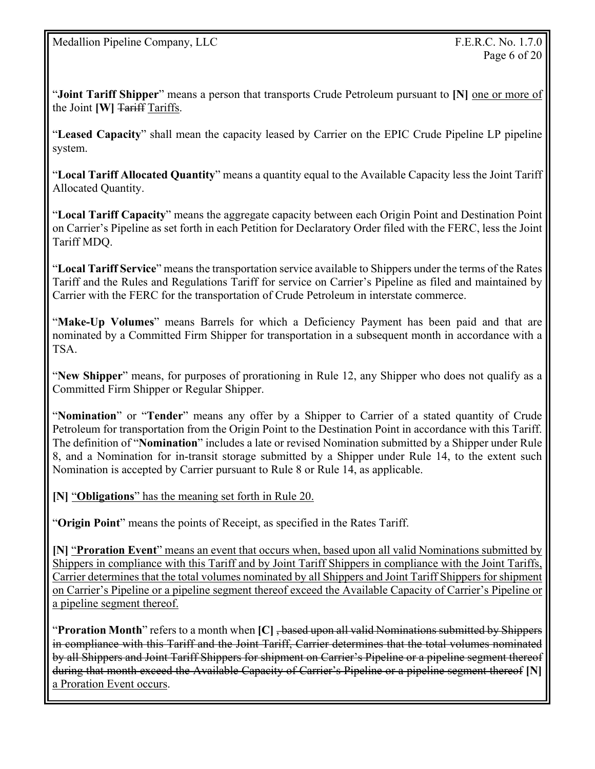"**Joint Tariff Shipper**" means a person that transports Crude Petroleum pursuant to **[N]** one or more of the Joint **[W]** Tariff Tariffs.

"**Leased Capacity**" shall mean the capacity leased by Carrier on the EPIC Crude Pipeline LP pipeline system.

"**Local Tariff Allocated Quantity**" means a quantity equal to the Available Capacity less the Joint Tariff Allocated Quantity.

"**Local Tariff Capacity**" means the aggregate capacity between each Origin Point and Destination Point on Carrier's Pipeline as set forth in each Petition for Declaratory Order filed with the FERC, less the Joint Tariff MDQ.

"**Local Tariff Service**" means the transportation service available to Shippers under the terms of the Rates Tariff and the Rules and Regulations Tariff for service on Carrier's Pipeline as filed and maintained by Carrier with the FERC for the transportation of Crude Petroleum in interstate commerce.

"**Make-Up Volumes**" means Barrels for which a Deficiency Payment has been paid and that are nominated by a Committed Firm Shipper for transportation in a subsequent month in accordance with a TSA.

"**New Shipper**" means, for purposes of prorationing in Rule 12, any Shipper who does not qualify as a Committed Firm Shipper or Regular Shipper.

"**Nomination**" or "**Tender**" means any offer by a Shipper to Carrier of a stated quantity of Crude Petroleum for transportation from the Origin Point to the Destination Point in accordance with this Tariff. The definition of "**Nomination**" includes a late or revised Nomination submitted by a Shipper under Rule 8, and a Nomination for in-transit storage submitted by a Shipper under Rule 14, to the extent such Nomination is accepted by Carrier pursuant to Rule 8 or Rule 14, as applicable.

**[N]** "**Obligations**" has the meaning set forth in Rule 20.

"**Origin Point**" means the points of Receipt, as specified in the Rates Tariff.

**[N]** "**Proration Event**" means an event that occurs when, based upon all valid Nominations submitted by Shippers in compliance with this Tariff and by Joint Tariff Shippers in compliance with the Joint Tariffs, Carrier determines that the total volumes nominated by all Shippers and Joint Tariff Shippers for shipment on Carrier's Pipeline or a pipeline segment thereof exceed the Available Capacity of Carrier's Pipeline or a pipeline segment thereof.

"**Proration Month**" refers to a month when **[C]** , based upon all valid Nominations submitted by Shippers in compliance with this Tariff and the Joint Tariff, Carrier determines that the total volumes nominated by all Shippers and Joint Tariff Shippers for shipment on Carrier's Pipeline or a pipeline segment thereof during that month exceed the Available Capacity of Carrier's Pipeline or a pipeline segment thereof **[N]** a Proration Event occurs.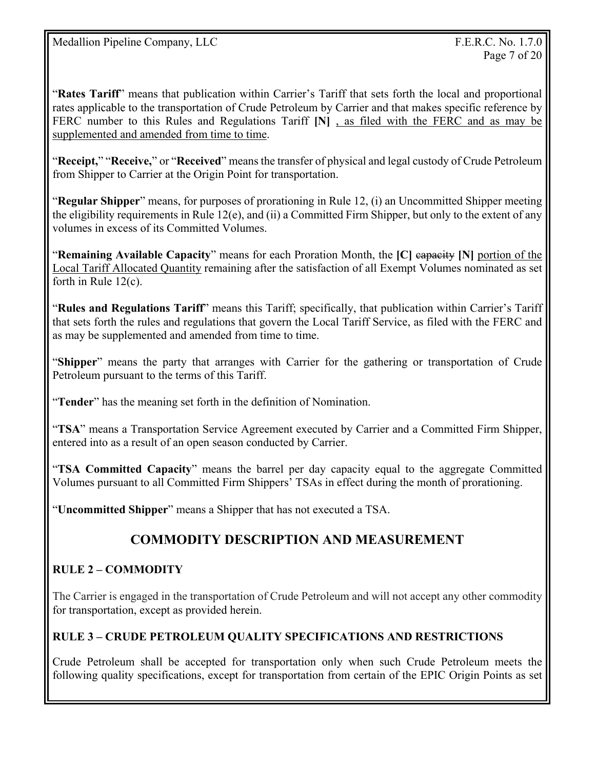"**Rates Tariff**" means that publication within Carrier's Tariff that sets forth the local and proportional rates applicable to the transportation of Crude Petroleum by Carrier and that makes specific reference by FERC number to this Rules and Regulations Tariff **[N]** , as filed with the FERC and as may be supplemented and amended from time to time.

"**Receipt,**" "**Receive,**" or "**Received**" means the transfer of physical and legal custody of Crude Petroleum from Shipper to Carrier at the Origin Point for transportation.

"**Regular Shipper**" means, for purposes of prorationing in Rule 12, (i) an Uncommitted Shipper meeting the eligibility requirements in Rule 12(e), and (ii) a Committed Firm Shipper, but only to the extent of any volumes in excess of its Committed Volumes.

"**Remaining Available Capacity**" means for each Proration Month, the **[C]** capacity **[N]** portion of the Local Tariff Allocated Quantity remaining after the satisfaction of all Exempt Volumes nominated as set forth in Rule 12(c).

"**Rules and Regulations Tariff**" means this Tariff; specifically, that publication within Carrier's Tariff that sets forth the rules and regulations that govern the Local Tariff Service, as filed with the FERC and as may be supplemented and amended from time to time.

"**Shipper**" means the party that arranges with Carrier for the gathering or transportation of Crude Petroleum pursuant to the terms of this Tariff.

"**Tender**" has the meaning set forth in the definition of Nomination.

"**TSA**" means a Transportation Service Agreement executed by Carrier and a Committed Firm Shipper, entered into as a result of an open season conducted by Carrier.

"**TSA Committed Capacity**" means the barrel per day capacity equal to the aggregate Committed Volumes pursuant to all Committed Firm Shippers' TSAs in effect during the month of prorationing.

"**Uncommitted Shipper**" means a Shipper that has not executed a TSA.

# **COMMODITY DESCRIPTION AND MEASUREMENT**

# **RULE 2 – COMMODITY**

The Carrier is engaged in the transportation of Crude Petroleum and will not accept any other commodity for transportation, except as provided herein.

## **RULE 3 – CRUDE PETROLEUM QUALITY SPECIFICATIONS AND RESTRICTIONS**

Crude Petroleum shall be accepted for transportation only when such Crude Petroleum meets the following quality specifications, except for transportation from certain of the EPIC Origin Points as set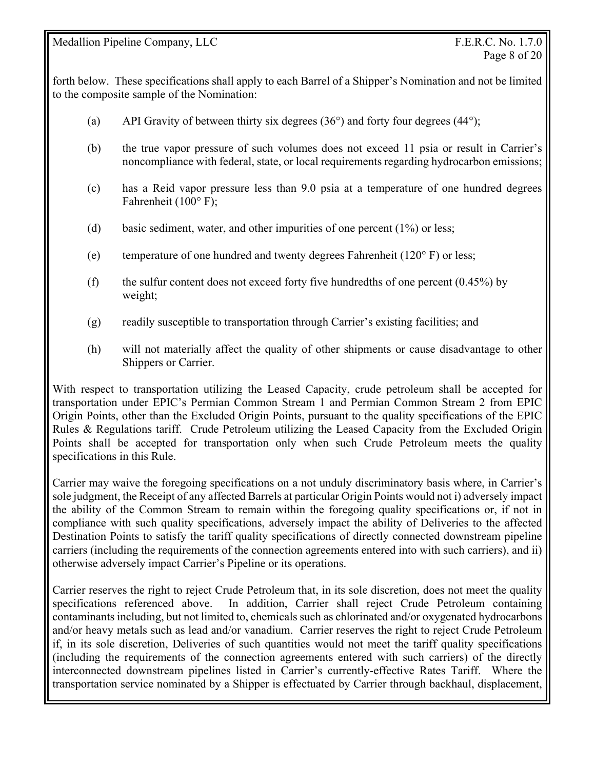forth below. These specifications shall apply to each Barrel of a Shipper's Nomination and not be limited to the composite sample of the Nomination:

- (a) API Gravity of between thirty six degrees  $(36^{\circ})$  and forty four degrees  $(44^{\circ})$ ;
- (b) the true vapor pressure of such volumes does not exceed 11 psia or result in Carrier's noncompliance with federal, state, or local requirements regarding hydrocarbon emissions;
- (c) has a Reid vapor pressure less than 9.0 psia at a temperature of one hundred degrees Fahrenheit (100° F);
- (d) basic sediment, water, and other impurities of one percent (1%) or less;
- (e) temperature of one hundred and twenty degrees Fahrenheit ( $120^\circ$  F) or less;
- (f) the sulfur content does not exceed forty five hundredths of one percent  $(0.45\%)$  by weight;
- (g) readily susceptible to transportation through Carrier's existing facilities; and
- (h) will not materially affect the quality of other shipments or cause disadvantage to other Shippers or Carrier.

With respect to transportation utilizing the Leased Capacity, crude petroleum shall be accepted for transportation under EPIC's Permian Common Stream 1 and Permian Common Stream 2 from EPIC Origin Points, other than the Excluded Origin Points, pursuant to the quality specifications of the EPIC Rules & Regulations tariff. Crude Petroleum utilizing the Leased Capacity from the Excluded Origin Points shall be accepted for transportation only when such Crude Petroleum meets the quality specifications in this Rule.

Carrier may waive the foregoing specifications on a not unduly discriminatory basis where, in Carrier's sole judgment, the Receipt of any affected Barrels at particular Origin Points would not i) adversely impact the ability of the Common Stream to remain within the foregoing quality specifications or, if not in compliance with such quality specifications, adversely impact the ability of Deliveries to the affected Destination Points to satisfy the tariff quality specifications of directly connected downstream pipeline carriers (including the requirements of the connection agreements entered into with such carriers), and ii) otherwise adversely impact Carrier's Pipeline or its operations.

Carrier reserves the right to reject Crude Petroleum that, in its sole discretion, does not meet the quality specifications referenced above. In addition, Carrier shall reject Crude Petroleum containing contaminants including, but not limited to, chemicals such as chlorinated and/or oxygenated hydrocarbons and/or heavy metals such as lead and/or vanadium. Carrier reserves the right to reject Crude Petroleum if, in its sole discretion, Deliveries of such quantities would not meet the tariff quality specifications (including the requirements of the connection agreements entered with such carriers) of the directly interconnected downstream pipelines listed in Carrier's currently-effective Rates Tariff. Where the transportation service nominated by a Shipper is effectuated by Carrier through backhaul, displacement,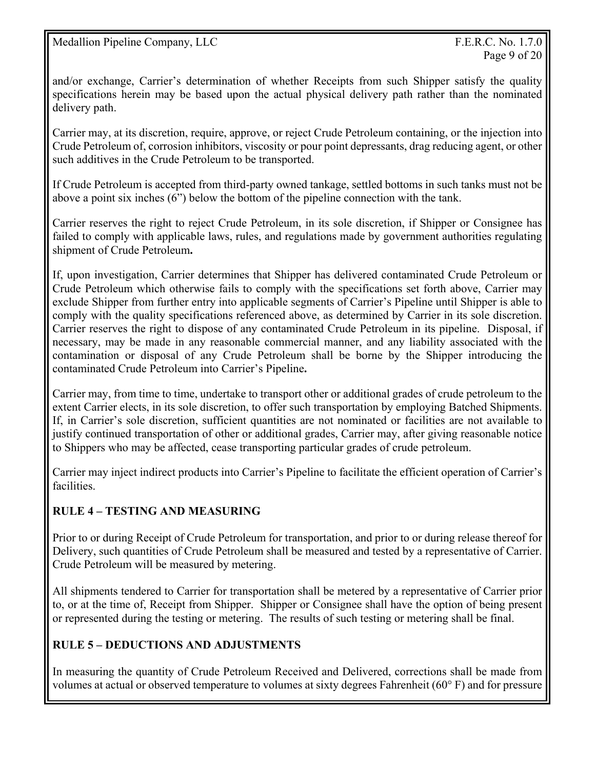and/or exchange, Carrier's determination of whether Receipts from such Shipper satisfy the quality specifications herein may be based upon the actual physical delivery path rather than the nominated delivery path.

Carrier may, at its discretion, require, approve, or reject Crude Petroleum containing, or the injection into Crude Petroleum of, corrosion inhibitors, viscosity or pour point depressants, drag reducing agent, or other such additives in the Crude Petroleum to be transported.

If Crude Petroleum is accepted from third-party owned tankage, settled bottoms in such tanks must not be above a point six inches (6") below the bottom of the pipeline connection with the tank.

Carrier reserves the right to reject Crude Petroleum, in its sole discretion, if Shipper or Consignee has failed to comply with applicable laws, rules, and regulations made by government authorities regulating shipment of Crude Petroleum**.**

If, upon investigation, Carrier determines that Shipper has delivered contaminated Crude Petroleum or Crude Petroleum which otherwise fails to comply with the specifications set forth above, Carrier may exclude Shipper from further entry into applicable segments of Carrier's Pipeline until Shipper is able to comply with the quality specifications referenced above, as determined by Carrier in its sole discretion. Carrier reserves the right to dispose of any contaminated Crude Petroleum in its pipeline. Disposal, if necessary, may be made in any reasonable commercial manner, and any liability associated with the contamination or disposal of any Crude Petroleum shall be borne by the Shipper introducing the contaminated Crude Petroleum into Carrier's Pipeline**.**

Carrier may, from time to time, undertake to transport other or additional grades of crude petroleum to the extent Carrier elects, in its sole discretion, to offer such transportation by employing Batched Shipments. If, in Carrier's sole discretion, sufficient quantities are not nominated or facilities are not available to justify continued transportation of other or additional grades, Carrier may, after giving reasonable notice to Shippers who may be affected, cease transporting particular grades of crude petroleum.

Carrier may inject indirect products into Carrier's Pipeline to facilitate the efficient operation of Carrier's facilities.

# **RULE 4 – TESTING AND MEASURING**

Prior to or during Receipt of Crude Petroleum for transportation, and prior to or during release thereof for Delivery, such quantities of Crude Petroleum shall be measured and tested by a representative of Carrier. Crude Petroleum will be measured by metering.

All shipments tendered to Carrier for transportation shall be metered by a representative of Carrier prior to, or at the time of, Receipt from Shipper. Shipper or Consignee shall have the option of being present or represented during the testing or metering. The results of such testing or metering shall be final.

# **RULE 5 – DEDUCTIONS AND ADJUSTMENTS**

In measuring the quantity of Crude Petroleum Received and Delivered, corrections shall be made from volumes at actual or observed temperature to volumes at sixty degrees Fahrenheit  $(60^{\circ}$  F) and for pressure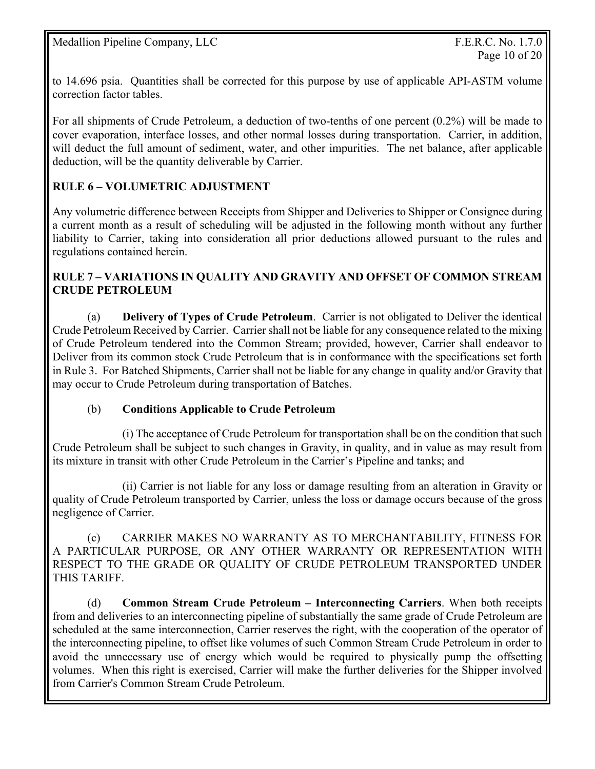to 14.696 psia. Quantities shall be corrected for this purpose by use of applicable API-ASTM volume correction factor tables.

For all shipments of Crude Petroleum, a deduction of two-tenths of one percent (0.2%) will be made to cover evaporation, interface losses, and other normal losses during transportation. Carrier, in addition, will deduct the full amount of sediment, water, and other impurities. The net balance, after applicable deduction, will be the quantity deliverable by Carrier.

## **RULE 6 – VOLUMETRIC ADJUSTMENT**

Any volumetric difference between Receipts from Shipper and Deliveries to Shipper or Consignee during a current month as a result of scheduling will be adjusted in the following month without any further liability to Carrier, taking into consideration all prior deductions allowed pursuant to the rules and regulations contained herein.

#### **RULE 7 – VARIATIONS IN QUALITY AND GRAVITY AND OFFSET OF COMMON STREAM CRUDE PETROLEUM**

(a) **Delivery of Types of Crude Petroleum**. Carrier is not obligated to Deliver the identical Crude Petroleum Received by Carrier. Carrier shall not be liable for any consequence related to the mixing of Crude Petroleum tendered into the Common Stream; provided, however, Carrier shall endeavor to Deliver from its common stock Crude Petroleum that is in conformance with the specifications set forth in Rule 3. For Batched Shipments, Carrier shall not be liable for any change in quality and/or Gravity that may occur to Crude Petroleum during transportation of Batches.

## (b) **Conditions Applicable to Crude Petroleum**

 (i) The acceptance of Crude Petroleum for transportation shall be on the condition that such Crude Petroleum shall be subject to such changes in Gravity, in quality, and in value as may result from its mixture in transit with other Crude Petroleum in the Carrier's Pipeline and tanks; and

 (ii) Carrier is not liable for any loss or damage resulting from an alteration in Gravity or quality of Crude Petroleum transported by Carrier, unless the loss or damage occurs because of the gross negligence of Carrier.

 (c) CARRIER MAKES NO WARRANTY AS TO MERCHANTABILITY, FITNESS FOR A PARTICULAR PURPOSE, OR ANY OTHER WARRANTY OR REPRESENTATION WITH RESPECT TO THE GRADE OR QUALITY OF CRUDE PETROLEUM TRANSPORTED UNDER THIS TARIFF.

(d) **Common Stream Crude Petroleum – Interconnecting Carriers**. When both receipts from and deliveries to an interconnecting pipeline of substantially the same grade of Crude Petroleum are scheduled at the same interconnection, Carrier reserves the right, with the cooperation of the operator of the interconnecting pipeline, to offset like volumes of such Common Stream Crude Petroleum in order to avoid the unnecessary use of energy which would be required to physically pump the offsetting volumes. When this right is exercised, Carrier will make the further deliveries for the Shipper involved from Carrier's Common Stream Crude Petroleum.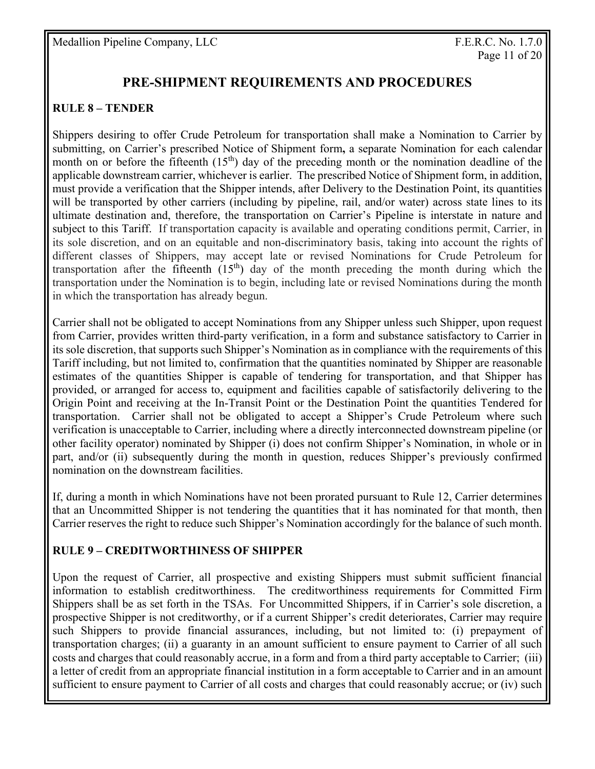# **PRE-SHIPMENT REQUIREMENTS AND PROCEDURES**

#### **RULE 8 – TENDER**

Shippers desiring to offer Crude Petroleum for transportation shall make a Nomination to Carrier by submitting, on Carrier's prescribed Notice of Shipment form**,** a separate Nomination for each calendar month on or before the fifteenth  $(15<sup>th</sup>)$  day of the preceding month or the nomination deadline of the applicable downstream carrier, whichever is earlier. The prescribed Notice of Shipment form, in addition, must provide a verification that the Shipper intends, after Delivery to the Destination Point, its quantities will be transported by other carriers (including by pipeline, rail, and/or water) across state lines to its ultimate destination and, therefore, the transportation on Carrier's Pipeline is interstate in nature and subject to this Tariff. If transportation capacity is available and operating conditions permit, Carrier, in its sole discretion, and on an equitable and non-discriminatory basis, taking into account the rights of different classes of Shippers, may accept late or revised Nominations for Crude Petroleum for transportation after the fifteenth  $(15<sup>th</sup>)$  day of the month preceding the month during which the transportation under the Nomination is to begin, including late or revised Nominations during the month in which the transportation has already begun.

Carrier shall not be obligated to accept Nominations from any Shipper unless such Shipper, upon request from Carrier, provides written third-party verification, in a form and substance satisfactory to Carrier in its sole discretion, that supports such Shipper's Nomination as in compliance with the requirements of this Tariff including, but not limited to, confirmation that the quantities nominated by Shipper are reasonable estimates of the quantities Shipper is capable of tendering for transportation, and that Shipper has provided, or arranged for access to, equipment and facilities capable of satisfactorily delivering to the Origin Point and receiving at the In-Transit Point or the Destination Point the quantities Tendered for transportation. Carrier shall not be obligated to accept a Shipper's Crude Petroleum where such verification is unacceptable to Carrier, including where a directly interconnected downstream pipeline (or other facility operator) nominated by Shipper (i) does not confirm Shipper's Nomination, in whole or in part, and/or (ii) subsequently during the month in question, reduces Shipper's previously confirmed nomination on the downstream facilities.

If, during a month in which Nominations have not been prorated pursuant to Rule 12, Carrier determines that an Uncommitted Shipper is not tendering the quantities that it has nominated for that month, then Carrier reserves the right to reduce such Shipper's Nomination accordingly for the balance of such month.

## **RULE 9 – CREDITWORTHINESS OF SHIPPER**

Upon the request of Carrier, all prospective and existing Shippers must submit sufficient financial information to establish creditworthiness. The creditworthiness requirements for Committed Firm Shippers shall be as set forth in the TSAs. For Uncommitted Shippers, if in Carrier's sole discretion, a prospective Shipper is not creditworthy, or if a current Shipper's credit deteriorates, Carrier may require such Shippers to provide financial assurances, including, but not limited to: (i) prepayment of transportation charges; (ii) a guaranty in an amount sufficient to ensure payment to Carrier of all such costs and charges that could reasonably accrue, in a form and from a third party acceptable to Carrier; (iii) a letter of credit from an appropriate financial institution in a form acceptable to Carrier and in an amount sufficient to ensure payment to Carrier of all costs and charges that could reasonably accrue; or (iv) such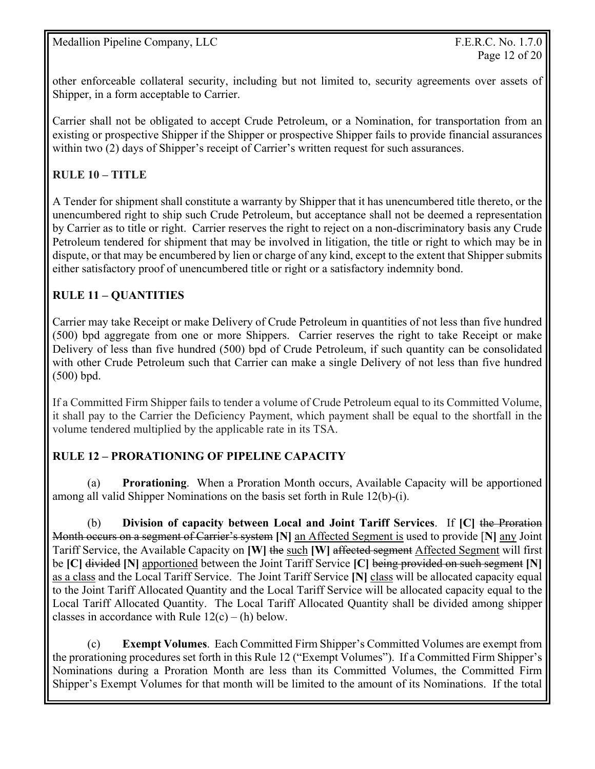other enforceable collateral security, including but not limited to, security agreements over assets of Shipper, in a form acceptable to Carrier.

Carrier shall not be obligated to accept Crude Petroleum, or a Nomination, for transportation from an existing or prospective Shipper if the Shipper or prospective Shipper fails to provide financial assurances within two (2) days of Shipper's receipt of Carrier's written request for such assurances.

## **RULE 10 – TITLE**

A Tender for shipment shall constitute a warranty by Shipper that it has unencumbered title thereto, or the unencumbered right to ship such Crude Petroleum, but acceptance shall not be deemed a representation by Carrier as to title or right. Carrier reserves the right to reject on a non-discriminatory basis any Crude Petroleum tendered for shipment that may be involved in litigation, the title or right to which may be in dispute, or that may be encumbered by lien or charge of any kind, except to the extent that Shipper submits either satisfactory proof of unencumbered title or right or a satisfactory indemnity bond.

## **RULE 11 – QUANTITIES**

Carrier may take Receipt or make Delivery of Crude Petroleum in quantities of not less than five hundred (500) bpd aggregate from one or more Shippers. Carrier reserves the right to take Receipt or make Delivery of less than five hundred (500) bpd of Crude Petroleum, if such quantity can be consolidated with other Crude Petroleum such that Carrier can make a single Delivery of not less than five hundred (500) bpd.

If a Committed Firm Shipper fails to tender a volume of Crude Petroleum equal to its Committed Volume, it shall pay to the Carrier the Deficiency Payment, which payment shall be equal to the shortfall in the volume tendered multiplied by the applicable rate in its TSA.

## **RULE 12 – PRORATIONING OF PIPELINE CAPACITY**

 (a) **Prorationing**. When a Proration Month occurs, Available Capacity will be apportioned among all valid Shipper Nominations on the basis set forth in Rule 12(b)-(i).

 (b) **Division of capacity between Local and Joint Tariff Services**. If **[C]** the Proration Month occurs on a segment of Carrier's system **[N]** an Affected Segment is used to provide [**N]** any Joint Tariff Service, the Available Capacity on **[W]** the such **[W]** affected segment Affected Segment will first be **[C]** divided **[N]** apportioned between the Joint Tariff Service **[C]** being provided on such segment **[N]**  as a class and the Local Tariff Service. The Joint Tariff Service **[N]** class will be allocated capacity equal to the Joint Tariff Allocated Quantity and the Local Tariff Service will be allocated capacity equal to the Local Tariff Allocated Quantity. The Local Tariff Allocated Quantity shall be divided among shipper classes in accordance with Rule  $12(c) - (h)$  below.

 (c) **Exempt Volumes**. Each Committed Firm Shipper's Committed Volumes are exempt from the prorationing procedures set forth in this Rule 12 ("Exempt Volumes"). If a Committed Firm Shipper's Nominations during a Proration Month are less than its Committed Volumes, the Committed Firm Shipper's Exempt Volumes for that month will be limited to the amount of its Nominations. If the total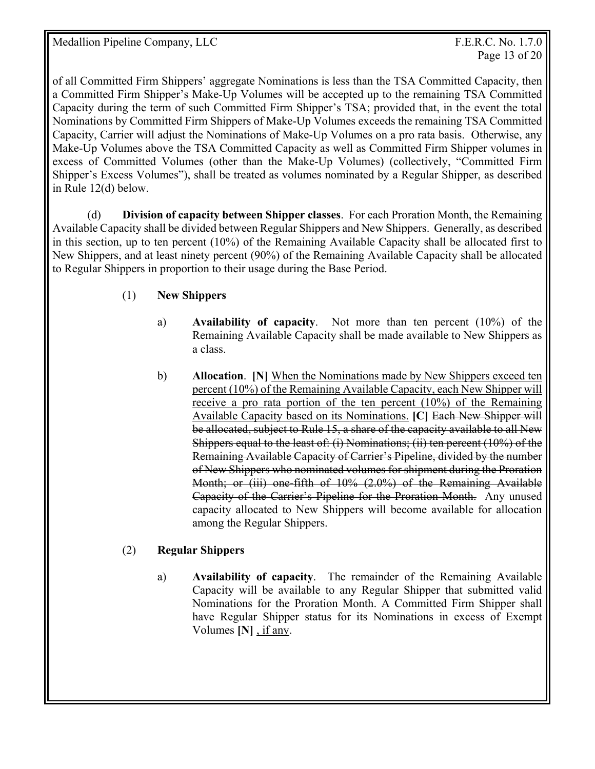of all Committed Firm Shippers' aggregate Nominations is less than the TSA Committed Capacity, then a Committed Firm Shipper's Make-Up Volumes will be accepted up to the remaining TSA Committed Capacity during the term of such Committed Firm Shipper's TSA; provided that, in the event the total Nominations by Committed Firm Shippers of Make-Up Volumes exceeds the remaining TSA Committed Capacity, Carrier will adjust the Nominations of Make-Up Volumes on a pro rata basis. Otherwise, any Make-Up Volumes above the TSA Committed Capacity as well as Committed Firm Shipper volumes in excess of Committed Volumes (other than the Make-Up Volumes) (collectively, "Committed Firm Shipper's Excess Volumes"), shall be treated as volumes nominated by a Regular Shipper, as described in Rule 12(d) below.

(d) **Division of capacity between Shipper classes**. For each Proration Month, the Remaining Available Capacity shall be divided between Regular Shippers and New Shippers. Generally, as described in this section, up to ten percent (10%) of the Remaining Available Capacity shall be allocated first to New Shippers, and at least ninety percent (90%) of the Remaining Available Capacity shall be allocated to Regular Shippers in proportion to their usage during the Base Period.

- (1) **New Shippers**
	- a) **Availability of capacity**. Not more than ten percent (10%) of the Remaining Available Capacity shall be made available to New Shippers as a class.
	- b) **Allocation**. **[N]** When the Nominations made by New Shippers exceed ten percent (10%) of the Remaining Available Capacity, each New Shipper will receive a pro rata portion of the ten percent (10%) of the Remaining Available Capacity based on its Nominations. **[C]** Each New Shipper will be allocated, subject to Rule 15, a share of the capacity available to all New Shippers equal to the least of: (i) Nominations; (ii) ten percent (10%) of the Remaining Available Capacity of Carrier's Pipeline, divided by the number of New Shippers who nominated volumes for shipment during the Proration Month; or (iii) one-fifth of 10% (2.0%) of the Remaining Available Capacity of the Carrier's Pipeline for the Proration Month. Any unused capacity allocated to New Shippers will become available for allocation among the Regular Shippers.

# (2) **Regular Shippers**

a) **Availability of capacity**. The remainder of the Remaining Available Capacity will be available to any Regular Shipper that submitted valid Nominations for the Proration Month. A Committed Firm Shipper shall have Regular Shipper status for its Nominations in excess of Exempt Volumes **[N]** , if any.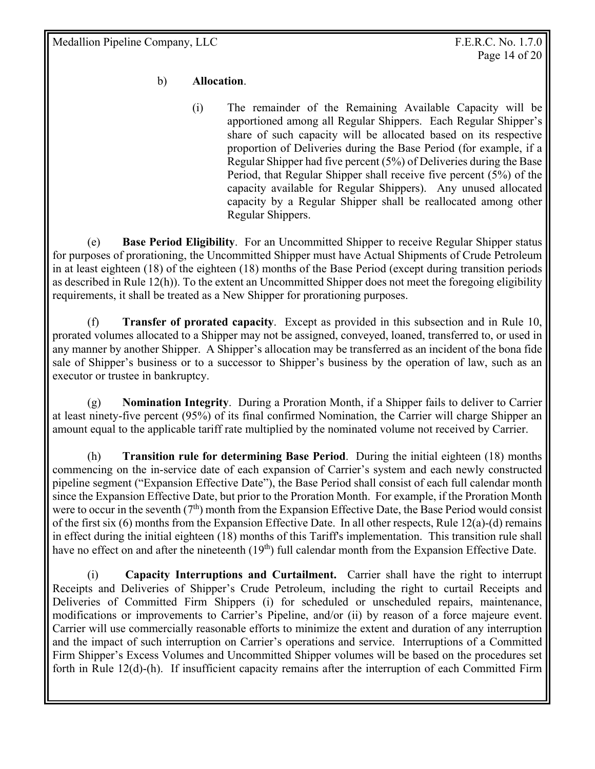#### b) **Allocation**.

(i) The remainder of the Remaining Available Capacity will be apportioned among all Regular Shippers. Each Regular Shipper's share of such capacity will be allocated based on its respective proportion of Deliveries during the Base Period (for example, if a Regular Shipper had five percent (5%) of Deliveries during the Base Period, that Regular Shipper shall receive five percent (5%) of the capacity available for Regular Shippers). Any unused allocated capacity by a Regular Shipper shall be reallocated among other Regular Shippers.

 (e) **Base Period Eligibility**. For an Uncommitted Shipper to receive Regular Shipper status for purposes of prorationing, the Uncommitted Shipper must have Actual Shipments of Crude Petroleum in at least eighteen (18) of the eighteen (18) months of the Base Period (except during transition periods as described in Rule 12(h)). To the extent an Uncommitted Shipper does not meet the foregoing eligibility requirements, it shall be treated as a New Shipper for prorationing purposes.

 (f) **Transfer of prorated capacity**. Except as provided in this subsection and in Rule 10, prorated volumes allocated to a Shipper may not be assigned, conveyed, loaned, transferred to, or used in any manner by another Shipper. A Shipper's allocation may be transferred as an incident of the bona fide sale of Shipper's business or to a successor to Shipper's business by the operation of law, such as an executor or trustee in bankruptcy.

 (g) **Nomination Integrity**. During a Proration Month, if a Shipper fails to deliver to Carrier at least ninety-five percent (95%) of its final confirmed Nomination, the Carrier will charge Shipper an amount equal to the applicable tariff rate multiplied by the nominated volume not received by Carrier.

(h) **Transition rule for determining Base Period**. During the initial eighteen (18) months commencing on the in-service date of each expansion of Carrier's system and each newly constructed pipeline segment ("Expansion Effective Date"), the Base Period shall consist of each full calendar month since the Expansion Effective Date, but prior to the Proration Month. For example, if the Proration Month were to occur in the seventh  $(7<sup>th</sup>)$  month from the Expansion Effective Date, the Base Period would consist of the first six (6) months from the Expansion Effective Date. In all other respects, Rule 12(a)-(d) remains in effect during the initial eighteen (18) months of this Tariff's implementation. This transition rule shall have no effect on and after the nineteenth  $(19<sup>th</sup>)$  full calendar month from the Expansion Effective Date.

(i) **Capacity Interruptions and Curtailment.** Carrier shall have the right to interrupt Receipts and Deliveries of Shipper's Crude Petroleum, including the right to curtail Receipts and Deliveries of Committed Firm Shippers (i) for scheduled or unscheduled repairs, maintenance, modifications or improvements to Carrier's Pipeline, and/or (ii) by reason of a force majeure event. Carrier will use commercially reasonable efforts to minimize the extent and duration of any interruption and the impact of such interruption on Carrier's operations and service. Interruptions of a Committed Firm Shipper's Excess Volumes and Uncommitted Shipper volumes will be based on the procedures set forth in Rule 12(d)-(h). If insufficient capacity remains after the interruption of each Committed Firm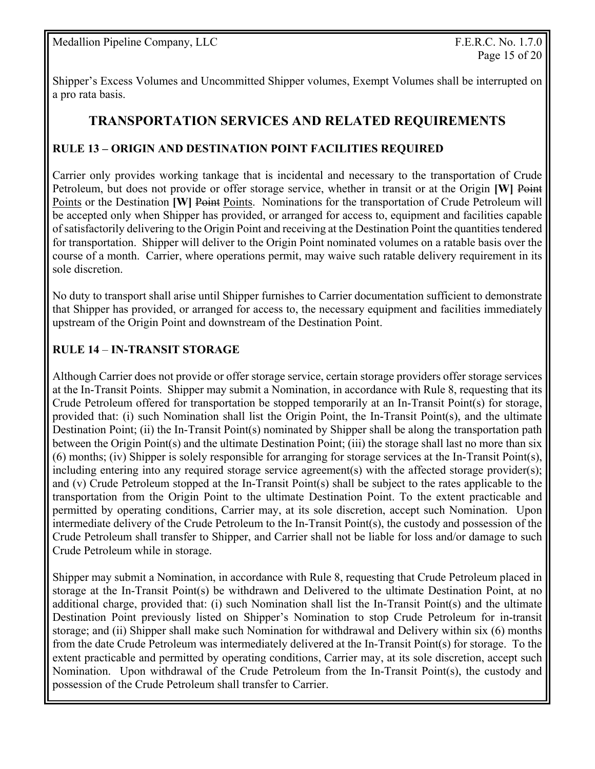Shipper's Excess Volumes and Uncommitted Shipper volumes, Exempt Volumes shall be interrupted on a pro rata basis.

# **TRANSPORTATION SERVICES AND RELATED REQUIREMENTS**

#### **RULE 13 – ORIGIN AND DESTINATION POINT FACILITIES REQUIRED**

Carrier only provides working tankage that is incidental and necessary to the transportation of Crude Petroleum, but does not provide or offer storage service, whether in transit or at the Origin **[W]** Point Points or the Destination **[W]** Points. Nominations for the transportation of Crude Petroleum will be accepted only when Shipper has provided, or arranged for access to, equipment and facilities capable of satisfactorily delivering to the Origin Point and receiving at the Destination Point the quantities tendered for transportation. Shipper will deliver to the Origin Point nominated volumes on a ratable basis over the course of a month. Carrier, where operations permit, may waive such ratable delivery requirement in its sole discretion.

No duty to transport shall arise until Shipper furnishes to Carrier documentation sufficient to demonstrate that Shipper has provided, or arranged for access to, the necessary equipment and facilities immediately upstream of the Origin Point and downstream of the Destination Point.

## **RULE 14** – **IN-TRANSIT STORAGE**

Although Carrier does not provide or offer storage service, certain storage providers offer storage services at the In-Transit Points. Shipper may submit a Nomination, in accordance with Rule 8, requesting that its Crude Petroleum offered for transportation be stopped temporarily at an In-Transit Point(s) for storage, provided that: (i) such Nomination shall list the Origin Point, the In-Transit Point(s), and the ultimate Destination Point; (ii) the In-Transit Point(s) nominated by Shipper shall be along the transportation path between the Origin Point(s) and the ultimate Destination Point; (iii) the storage shall last no more than six (6) months; (iv) Shipper is solely responsible for arranging for storage services at the In-Transit Point(s), including entering into any required storage service agreement(s) with the affected storage provider(s); and (v) Crude Petroleum stopped at the In-Transit Point(s) shall be subject to the rates applicable to the transportation from the Origin Point to the ultimate Destination Point. To the extent practicable and permitted by operating conditions, Carrier may, at its sole discretion, accept such Nomination. Upon intermediate delivery of the Crude Petroleum to the In-Transit Point(s), the custody and possession of the Crude Petroleum shall transfer to Shipper, and Carrier shall not be liable for loss and/or damage to such Crude Petroleum while in storage.

Shipper may submit a Nomination, in accordance with Rule 8, requesting that Crude Petroleum placed in storage at the In-Transit Point(s) be withdrawn and Delivered to the ultimate Destination Point, at no additional charge, provided that: (i) such Nomination shall list the In-Transit Point(s) and the ultimate Destination Point previously listed on Shipper's Nomination to stop Crude Petroleum for in-transit storage; and (ii) Shipper shall make such Nomination for withdrawal and Delivery within six (6) months from the date Crude Petroleum was intermediately delivered at the In-Transit Point(s) for storage. To the extent practicable and permitted by operating conditions, Carrier may, at its sole discretion, accept such Nomination. Upon withdrawal of the Crude Petroleum from the In-Transit Point(s), the custody and possession of the Crude Petroleum shall transfer to Carrier.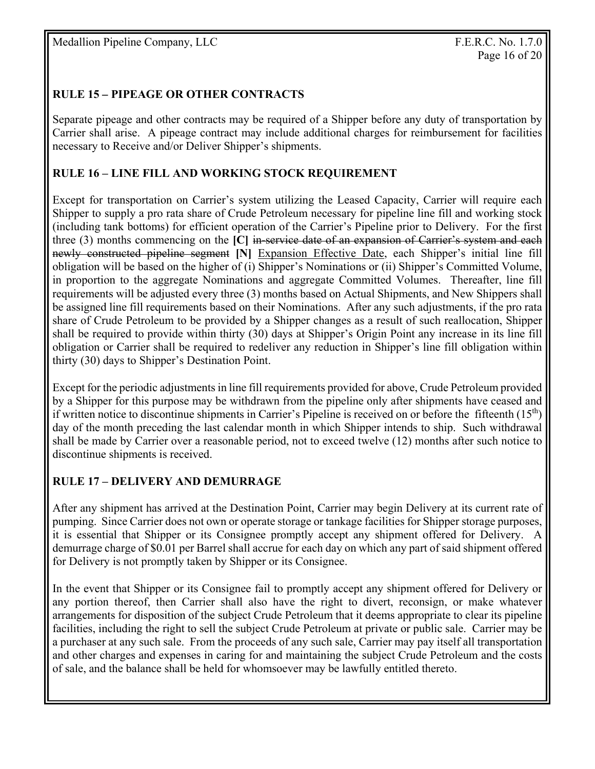Medallion Pipeline Company, LLC The Company, LLC F.E.R.C. No. 1.7.0

## **RULE 15** *–* **PIPEAGE OR OTHER CONTRACTS**

Separate pipeage and other contracts may be required of a Shipper before any duty of transportation by Carrier shall arise. A pipeage contract may include additional charges for reimbursement for facilities necessary to Receive and/or Deliver Shipper's shipments.

## **RULE 16 – LINE FILL AND WORKING STOCK REQUIREMENT**

Except for transportation on Carrier's system utilizing the Leased Capacity, Carrier will require each Shipper to supply a pro rata share of Crude Petroleum necessary for pipeline line fill and working stock (including tank bottoms) for efficient operation of the Carrier's Pipeline prior to Delivery. For the first three (3) months commencing on the [C] in-service date of an expansion of Carrier's system and each newly constructed pipeline segment **[N]** Expansion Effective Date, each Shipper's initial line fill obligation will be based on the higher of (i) Shipper's Nominations or (ii) Shipper's Committed Volume, in proportion to the aggregate Nominations and aggregate Committed Volumes. Thereafter, line fill requirements will be adjusted every three (3) months based on Actual Shipments, and New Shippers shall be assigned line fill requirements based on their Nominations. After any such adjustments, if the pro rata share of Crude Petroleum to be provided by a Shipper changes as a result of such reallocation, Shipper shall be required to provide within thirty (30) days at Shipper's Origin Point any increase in its line fill obligation or Carrier shall be required to redeliver any reduction in Shipper's line fill obligation within thirty (30) days to Shipper's Destination Point.

Except for the periodic adjustments in line fill requirements provided for above, Crude Petroleum provided by a Shipper for this purpose may be withdrawn from the pipeline only after shipments have ceased and if written notice to discontinue shipments in Carrier's Pipeline is received on or before the fifteenth (15th) day of the month preceding the last calendar month in which Shipper intends to ship. Such withdrawal shall be made by Carrier over a reasonable period, not to exceed twelve (12) months after such notice to discontinue shipments is received.

# **RULE 17 – DELIVERY AND DEMURRAGE**

After any shipment has arrived at the Destination Point, Carrier may begin Delivery at its current rate of pumping. Since Carrier does not own or operate storage or tankage facilities for Shipper storage purposes, it is essential that Shipper or its Consignee promptly accept any shipment offered for Delivery. A demurrage charge of \$0.01 per Barrel shall accrue for each day on which any part of said shipment offered for Delivery is not promptly taken by Shipper or its Consignee.

In the event that Shipper or its Consignee fail to promptly accept any shipment offered for Delivery or any portion thereof, then Carrier shall also have the right to divert, reconsign, or make whatever arrangements for disposition of the subject Crude Petroleum that it deems appropriate to clear its pipeline facilities, including the right to sell the subject Crude Petroleum at private or public sale. Carrier may be a purchaser at any such sale. From the proceeds of any such sale, Carrier may pay itself all transportation and other charges and expenses in caring for and maintaining the subject Crude Petroleum and the costs of sale, and the balance shall be held for whomsoever may be lawfully entitled thereto.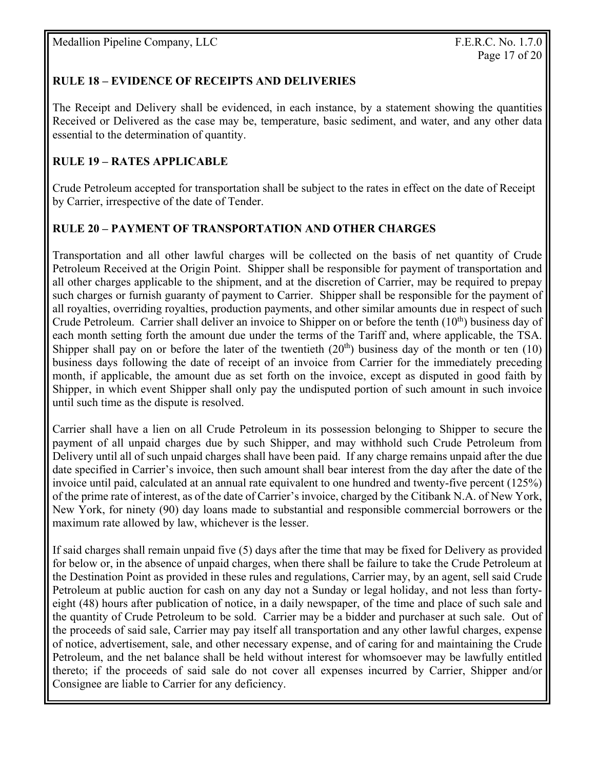#### **RULE 18 – EVIDENCE OF RECEIPTS AND DELIVERIES**

The Receipt and Delivery shall be evidenced, in each instance, by a statement showing the quantities Received or Delivered as the case may be, temperature, basic sediment, and water, and any other data essential to the determination of quantity.

#### **RULE 19 – RATES APPLICABLE**

Crude Petroleum accepted for transportation shall be subject to the rates in effect on the date of Receipt by Carrier, irrespective of the date of Tender.

#### **RULE 20 – PAYMENT OF TRANSPORTATION AND OTHER CHARGES**

Transportation and all other lawful charges will be collected on the basis of net quantity of Crude Petroleum Received at the Origin Point. Shipper shall be responsible for payment of transportation and all other charges applicable to the shipment, and at the discretion of Carrier, may be required to prepay such charges or furnish guaranty of payment to Carrier. Shipper shall be responsible for the payment of all royalties, overriding royalties, production payments, and other similar amounts due in respect of such Crude Petroleum. Carrier shall deliver an invoice to Shipper on or before the tenth  $(10<sup>th</sup>)$  business day of each month setting forth the amount due under the terms of the Tariff and, where applicable, the TSA. Shipper shall pay on or before the later of the twentieth  $(20<sup>th</sup>)$  business day of the month or ten  $(10)$ business days following the date of receipt of an invoice from Carrier for the immediately preceding month, if applicable, the amount due as set forth on the invoice, except as disputed in good faith by Shipper, in which event Shipper shall only pay the undisputed portion of such amount in such invoice until such time as the dispute is resolved.

Carrier shall have a lien on all Crude Petroleum in its possession belonging to Shipper to secure the payment of all unpaid charges due by such Shipper, and may withhold such Crude Petroleum from Delivery until all of such unpaid charges shall have been paid. If any charge remains unpaid after the due date specified in Carrier's invoice, then such amount shall bear interest from the day after the date of the invoice until paid, calculated at an annual rate equivalent to one hundred and twenty-five percent (125%) of the prime rate of interest, as of the date of Carrier's invoice, charged by the Citibank N.A. of New York, New York, for ninety (90) day loans made to substantial and responsible commercial borrowers or the maximum rate allowed by law, whichever is the lesser.

If said charges shall remain unpaid five (5) days after the time that may be fixed for Delivery as provided for below or, in the absence of unpaid charges, when there shall be failure to take the Crude Petroleum at the Destination Point as provided in these rules and regulations, Carrier may, by an agent, sell said Crude Petroleum at public auction for cash on any day not a Sunday or legal holiday, and not less than fortyeight (48) hours after publication of notice, in a daily newspaper, of the time and place of such sale and the quantity of Crude Petroleum to be sold. Carrier may be a bidder and purchaser at such sale. Out of the proceeds of said sale, Carrier may pay itself all transportation and any other lawful charges, expense of notice, advertisement, sale, and other necessary expense, and of caring for and maintaining the Crude Petroleum, and the net balance shall be held without interest for whomsoever may be lawfully entitled thereto; if the proceeds of said sale do not cover all expenses incurred by Carrier, Shipper and/or Consignee are liable to Carrier for any deficiency.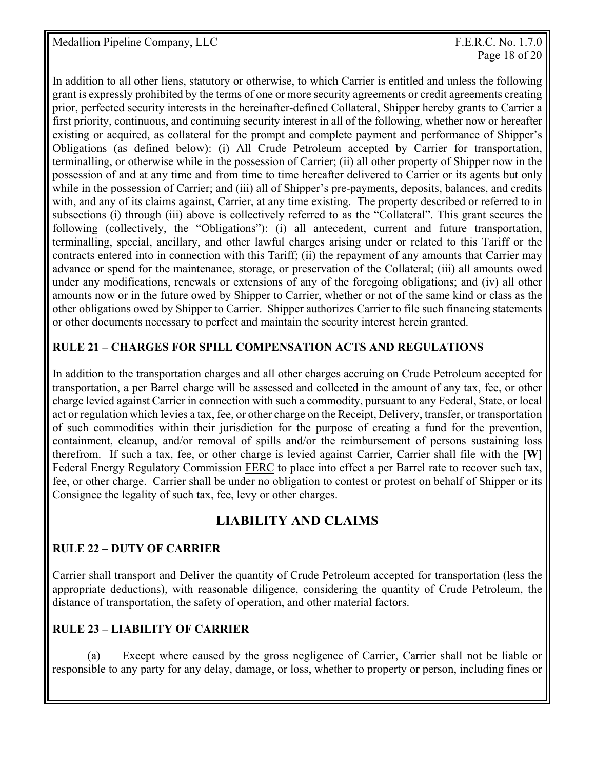In addition to all other liens, statutory or otherwise, to which Carrier is entitled and unless the following grant is expressly prohibited by the terms of one or more security agreements or credit agreements creating prior, perfected security interests in the hereinafter-defined Collateral, Shipper hereby grants to Carrier a first priority, continuous, and continuing security interest in all of the following, whether now or hereafter existing or acquired, as collateral for the prompt and complete payment and performance of Shipper's Obligations (as defined below): (i) All Crude Petroleum accepted by Carrier for transportation, terminalling, or otherwise while in the possession of Carrier; (ii) all other property of Shipper now in the possession of and at any time and from time to time hereafter delivered to Carrier or its agents but only while in the possession of Carrier; and (iii) all of Shipper's pre-payments, deposits, balances, and credits with, and any of its claims against, Carrier, at any time existing. The property described or referred to in subsections (i) through (iii) above is collectively referred to as the "Collateral". This grant secures the following (collectively, the "Obligations"): (i) all antecedent, current and future transportation, terminalling, special, ancillary, and other lawful charges arising under or related to this Tariff or the contracts entered into in connection with this Tariff; (ii) the repayment of any amounts that Carrier may advance or spend for the maintenance, storage, or preservation of the Collateral; (iii) all amounts owed under any modifications, renewals or extensions of any of the foregoing obligations; and (iv) all other amounts now or in the future owed by Shipper to Carrier, whether or not of the same kind or class as the other obligations owed by Shipper to Carrier. Shipper authorizes Carrier to file such financing statements or other documents necessary to perfect and maintain the security interest herein granted.

# **RULE 21 – CHARGES FOR SPILL COMPENSATION ACTS AND REGULATIONS**

In addition to the transportation charges and all other charges accruing on Crude Petroleum accepted for transportation, a per Barrel charge will be assessed and collected in the amount of any tax, fee, or other charge levied against Carrier in connection with such a commodity, pursuant to any Federal, State, or local act or regulation which levies a tax, fee, or other charge on the Receipt, Delivery, transfer, or transportation of such commodities within their jurisdiction for the purpose of creating a fund for the prevention, containment, cleanup, and/or removal of spills and/or the reimbursement of persons sustaining loss therefrom. If such a tax, fee, or other charge is levied against Carrier, Carrier shall file with the **[W]** Federal Energy Regulatory Commission FERC to place into effect a per Barrel rate to recover such tax, fee, or other charge. Carrier shall be under no obligation to contest or protest on behalf of Shipper or its Consignee the legality of such tax, fee, levy or other charges.

# **LIABILITY AND CLAIMS**

# **RULE 22 – DUTY OF CARRIER**

Carrier shall transport and Deliver the quantity of Crude Petroleum accepted for transportation (less the appropriate deductions), with reasonable diligence, considering the quantity of Crude Petroleum, the distance of transportation, the safety of operation, and other material factors.

# **RULE 23 – LIABILITY OF CARRIER**

 (a) Except where caused by the gross negligence of Carrier, Carrier shall not be liable or responsible to any party for any delay, damage, or loss, whether to property or person, including fines or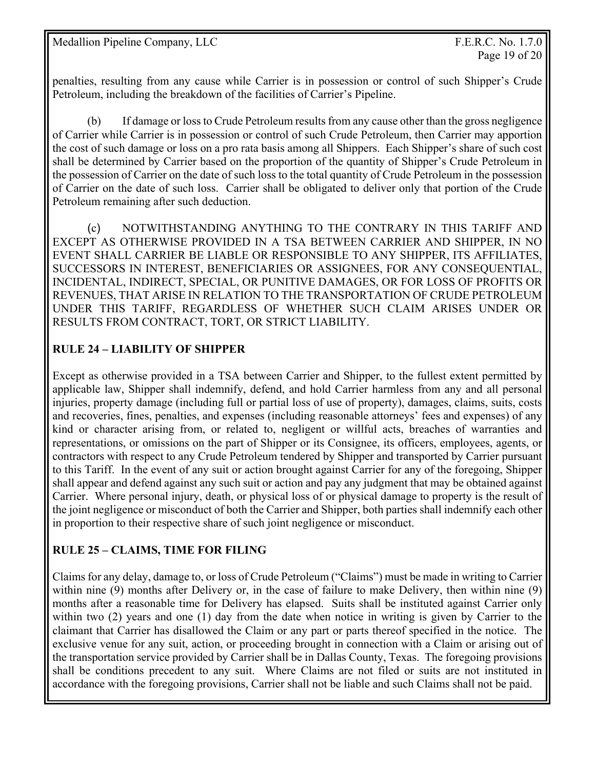penalties, resulting from any cause while Carrier is in possession or control of such Shipper's Crude Petroleum, including the breakdown of the facilities of Carrier's Pipeline.

 (b) If damage or loss to Crude Petroleum results from any cause other than the gross negligence of Carrier while Carrier is in possession or control of such Crude Petroleum, then Carrier may apportion the cost of such damage or loss on a pro rata basis among all Shippers. Each Shipper's share of such cost shall be determined by Carrier based on the proportion of the quantity of Shipper's Crude Petroleum in the possession of Carrier on the date of such loss to the total quantity of Crude Petroleum in the possession of Carrier on the date of such loss. Carrier shall be obligated to deliver only that portion of the Crude Petroleum remaining after such deduction.

 (c) NOTWITHSTANDING ANYTHING TO THE CONTRARY IN THIS TARIFF AND EXCEPT AS OTHERWISE PROVIDED IN A TSA BETWEEN CARRIER AND SHIPPER, IN NO EVENT SHALL CARRIER BE LIABLE OR RESPONSIBLE TO ANY SHIPPER, ITS AFFILIATES, SUCCESSORS IN INTEREST, BENEFICIARIES OR ASSIGNEES, FOR ANY CONSEQUENTIAL, INCIDENTAL, INDIRECT, SPECIAL, OR PUNITIVE DAMAGES, OR FOR LOSS OF PROFITS OR REVENUES, THAT ARISE IN RELATION TO THE TRANSPORTATION OF CRUDE PETROLEUM UNDER THIS TARIFF, REGARDLESS OF WHETHER SUCH CLAIM ARISES UNDER OR RESULTS FROM CONTRACT, TORT, OR STRICT LIABILITY.

## **RULE 24 – LIABILITY OF SHIPPER**

Except as otherwise provided in a TSA between Carrier and Shipper, to the fullest extent permitted by applicable law, Shipper shall indemnify, defend, and hold Carrier harmless from any and all personal injuries, property damage (including full or partial loss of use of property), damages, claims, suits, costs and recoveries, fines, penalties, and expenses (including reasonable attorneys' fees and expenses) of any kind or character arising from, or related to, negligent or willful acts, breaches of warranties and representations, or omissions on the part of Shipper or its Consignee, its officers, employees, agents, or contractors with respect to any Crude Petroleum tendered by Shipper and transported by Carrier pursuant to this Tariff. In the event of any suit or action brought against Carrier for any of the foregoing, Shipper shall appear and defend against any such suit or action and pay any judgment that may be obtained against Carrier. Where personal injury, death, or physical loss of or physical damage to property is the result of the joint negligence or misconduct of both the Carrier and Shipper, both parties shall indemnify each other in proportion to their respective share of such joint negligence or misconduct.

## **RULE 25 – CLAIMS, TIME FOR FILING**

Claims for any delay, damage to, or loss of Crude Petroleum ("Claims") must be made in writing to Carrier within nine (9) months after Delivery or, in the case of failure to make Delivery, then within nine (9) months after a reasonable time for Delivery has elapsed. Suits shall be instituted against Carrier only within two (2) years and one (1) day from the date when notice in writing is given by Carrier to the claimant that Carrier has disallowed the Claim or any part or parts thereof specified in the notice. The exclusive venue for any suit, action, or proceeding brought in connection with a Claim or arising out of the transportation service provided by Carrier shall be in Dallas County, Texas. The foregoing provisions shall be conditions precedent to any suit. Where Claims are not filed or suits are not instituted in accordance with the foregoing provisions, Carrier shall not be liable and such Claims shall not be paid.